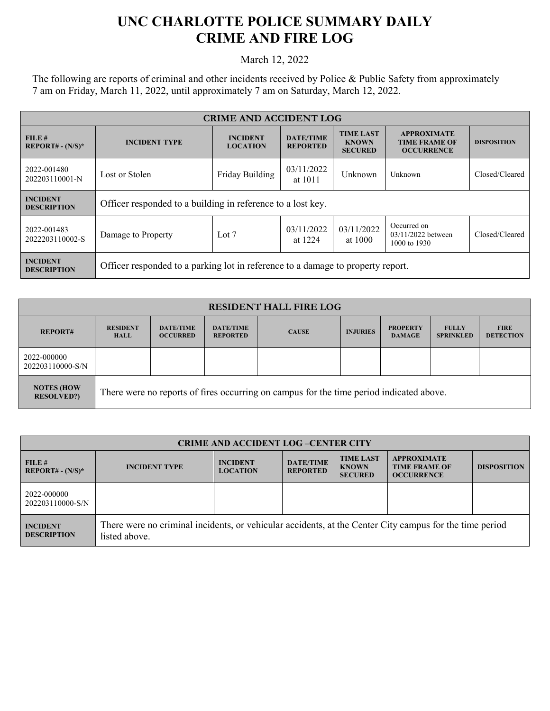## **UNC CHARLOTTE POLICE SUMMARY DAILY CRIME AND FIRE LOG**

March 12, 2022

The following are reports of criminal and other incidents received by Police & Public Safety from approximately 7 am on Friday, March 11, 2022, until approximately 7 am on Saturday, March 12, 2022.

| <b>CRIME AND ACCIDENT LOG</b>         |                                                                                 |                                    |                                     |                                                    |                                                                 |                    |
|---------------------------------------|---------------------------------------------------------------------------------|------------------------------------|-------------------------------------|----------------------------------------------------|-----------------------------------------------------------------|--------------------|
| FILE#<br>$REPORT# - (N/S)*$           | <b>INCIDENT TYPE</b>                                                            | <b>INCIDENT</b><br><b>LOCATION</b> | <b>DATE/TIME</b><br><b>REPORTED</b> | <b>TIME LAST</b><br><b>KNOWN</b><br><b>SECURED</b> | <b>APPROXIMATE</b><br><b>TIME FRAME OF</b><br><b>OCCURRENCE</b> | <b>DISPOSITION</b> |
| 2022-001480<br>202203110001-N         | Lost or Stolen                                                                  | Friday Building                    | 03/11/2022<br>at 1011               | Unknown                                            | Unknown                                                         | Closed/Cleared     |
| <b>INCIDENT</b><br><b>DESCRIPTION</b> | Officer responded to a building in reference to a lost key.                     |                                    |                                     |                                                    |                                                                 |                    |
| 2022-001483<br>2022203110002-S        | Damage to Property                                                              | Lot 7                              | 03/11/2022<br>at 1224               | 03/11/2022<br>at 1000                              | Occurred on<br>$03/11/2022$ between<br>1000 to 1930             | Closed/Cleared     |
| <b>INCIDENT</b><br><b>DESCRIPTION</b> | Officer responded to a parking lot in reference to a damage to property report. |                                    |                                     |                                                    |                                                                 |                    |

| <b>RESIDENT HALL FIRE LOG</b>          |                                                                                         |                                     |                                     |              |                 |                                  |                                  |                                 |
|----------------------------------------|-----------------------------------------------------------------------------------------|-------------------------------------|-------------------------------------|--------------|-----------------|----------------------------------|----------------------------------|---------------------------------|
| <b>REPORT#</b>                         | <b>RESIDENT</b><br><b>HALL</b>                                                          | <b>DATE/TIME</b><br><b>OCCURRED</b> | <b>DATE/TIME</b><br><b>REPORTED</b> | <b>CAUSE</b> | <b>INJURIES</b> | <b>PROPERTY</b><br><b>DAMAGE</b> | <b>FULLY</b><br><b>SPRINKLED</b> | <b>FIRE</b><br><b>DETECTION</b> |
| 2022-000000<br>202203110000-S/N        |                                                                                         |                                     |                                     |              |                 |                                  |                                  |                                 |
| <b>NOTES (HOW</b><br><b>RESOLVED?)</b> | There were no reports of fires occurring on campus for the time period indicated above. |                                     |                                     |              |                 |                                  |                                  |                                 |

| <b>CRIME AND ACCIDENT LOG-CENTER CITY</b> |                                                                                                                          |                                    |                                     |                                                    |                                                                 |                    |  |
|-------------------------------------------|--------------------------------------------------------------------------------------------------------------------------|------------------------------------|-------------------------------------|----------------------------------------------------|-----------------------------------------------------------------|--------------------|--|
| FILE#<br>$REPORT# - (N/S)*$               | <b>INCIDENT TYPE</b>                                                                                                     | <b>INCIDENT</b><br><b>LOCATION</b> | <b>DATE/TIME</b><br><b>REPORTED</b> | <b>TIME LAST</b><br><b>KNOWN</b><br><b>SECURED</b> | <b>APPROXIMATE</b><br><b>TIME FRAME OF</b><br><b>OCCURRENCE</b> | <b>DISPOSITION</b> |  |
| 2022-000000<br>202203110000-S/N           |                                                                                                                          |                                    |                                     |                                                    |                                                                 |                    |  |
| <b>INCIDENT</b><br><b>DESCRIPTION</b>     | There were no criminal incidents, or vehicular accidents, at the Center City campus for the time period<br>listed above. |                                    |                                     |                                                    |                                                                 |                    |  |